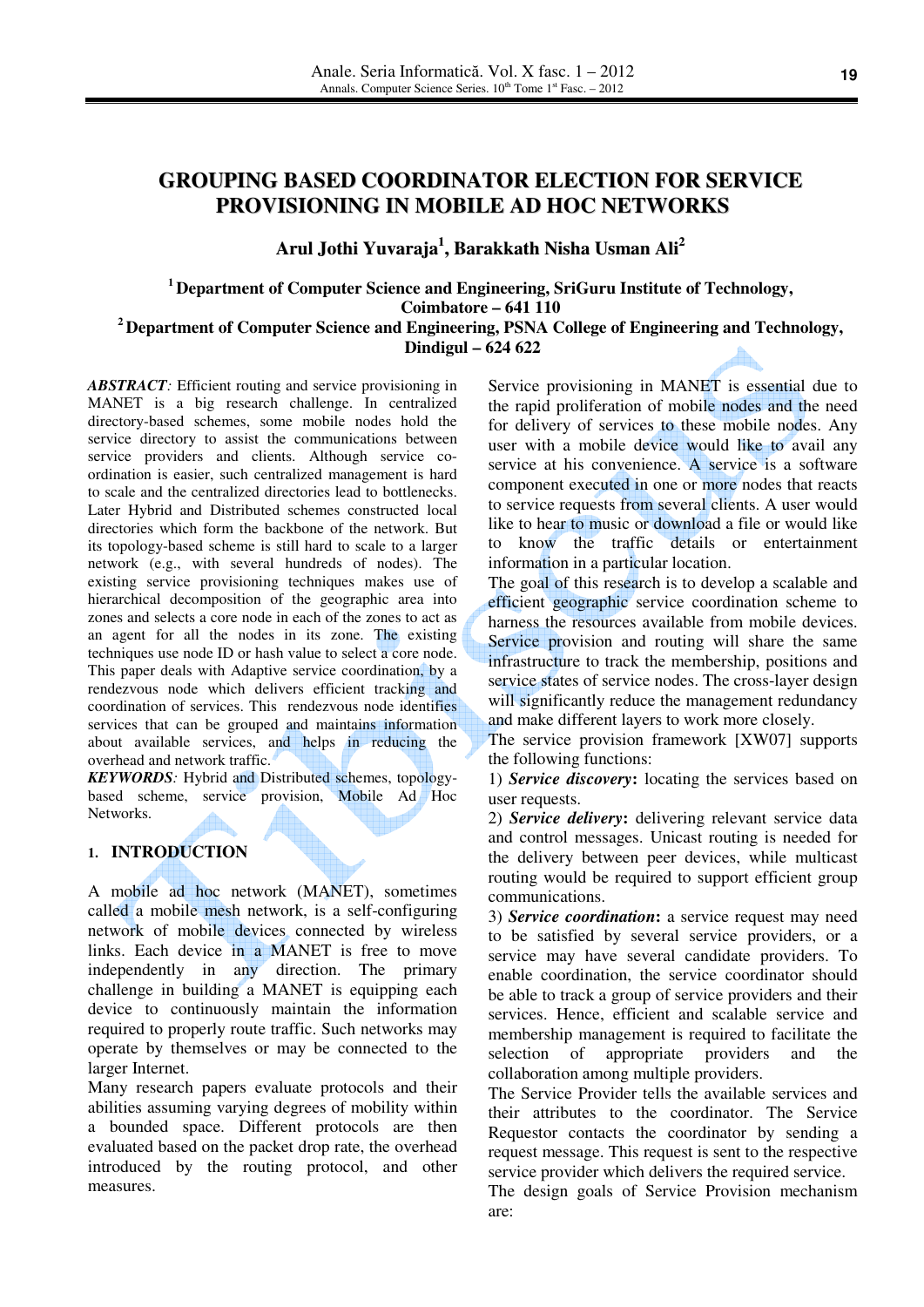# **GROUPING BASED COORDINATOR ELECTION FOR SERVICE PROVISIONING IN MOBILE AD HOC NETWORKS**

**Arul Jothi Yuvaraja 1 , Barakkath Nisha Usman Ali 2**

**<sup>1</sup>Department of Computer Science and Engineering, SriGuru Institute of Technology, Coimbatore – 641 110** 

**<sup>2</sup>Department of Computer Science and Engineering, PSNA College of Engineering and Technology, Dindigul – 624 622** 

*ABSTRACT:* Efficient routing and service provisioning in MANET is a big research challenge. In centralized directory-based schemes, some mobile nodes hold the service directory to assist the communications between service providers and clients. Although service coordination is easier, such centralized management is hard to scale and the centralized directories lead to bottlenecks. Later Hybrid and Distributed schemes constructed local directories which form the backbone of the network. But its topology-based scheme is still hard to scale to a larger network (e.g., with several hundreds of nodes). The existing service provisioning techniques makes use of hierarchical decomposition of the geographic area into zones and selects a core node in each of the zones to act as an agent for all the nodes in its zone. The existing techniques use node ID or hash value to select a core node. This paper deals with Adaptive service coordination, by a rendezvous node which delivers efficient tracking and coordination of services. This rendezvous node identifies services that can be grouped and maintains information about available services, and helps in reducing the overhead and network traffic.

*KEYWORDS:* Hybrid and Distributed schemes, topologybased scheme, service provision, Mobile Ad Hoc Networks.

## **1. INTRODUCTION**

A mobile ad hoc network (MANET), sometimes called a mobile mesh network, is a self-configuring network of mobile devices connected by wireless links. Each device in a MANET is free to move independently in any direction. The primary challenge in building a MANET is equipping each device to continuously maintain the information required to properly route traffic. Such networks may operate by themselves or may be connected to the larger Internet.

Many research papers evaluate protocols and their abilities assuming varying degrees of mobility within a bounded space. Different protocols are then evaluated based on the packet drop rate, the overhead introduced by the routing protocol, and other measures.

Service provisioning in MANET is essential due to the rapid proliferation of mobile nodes and the need for delivery of services to these mobile nodes. Any user with a mobile device would like to avail any service at his convenience. A service is a software component executed in one or more nodes that reacts to service requests from several clients. A user would like to hear to music or download a file or would like know the traffic details or entertainment information in a particular location.

The goal of this research is to develop a scalable and efficient geographic service coordination scheme to harness the resources available from mobile devices. Service provision and routing will share the same infrastructure to track the membership, positions and service states of service nodes. The cross-layer design will significantly reduce the management redundancy and make different layers to work more closely.

The service provision framework [XW07] supports the following functions:

1) *Service discovery***:** locating the services based on user requests.

2) *Service delivery***:** delivering relevant service data and control messages. Unicast routing is needed for the delivery between peer devices, while multicast routing would be required to support efficient group communications.

3) *Service coordination***:** a service request may need to be satisfied by several service providers, or a service may have several candidate providers. To enable coordination, the service coordinator should be able to track a group of service providers and their services. Hence, efficient and scalable service and membership management is required to facilitate the selection of appropriate providers and the collaboration among multiple providers.

The Service Provider tells the available services and their attributes to the coordinator. The Service Requestor contacts the coordinator by sending a request message. This request is sent to the respective service provider which delivers the required service.

The design goals of Service Provision mechanism are: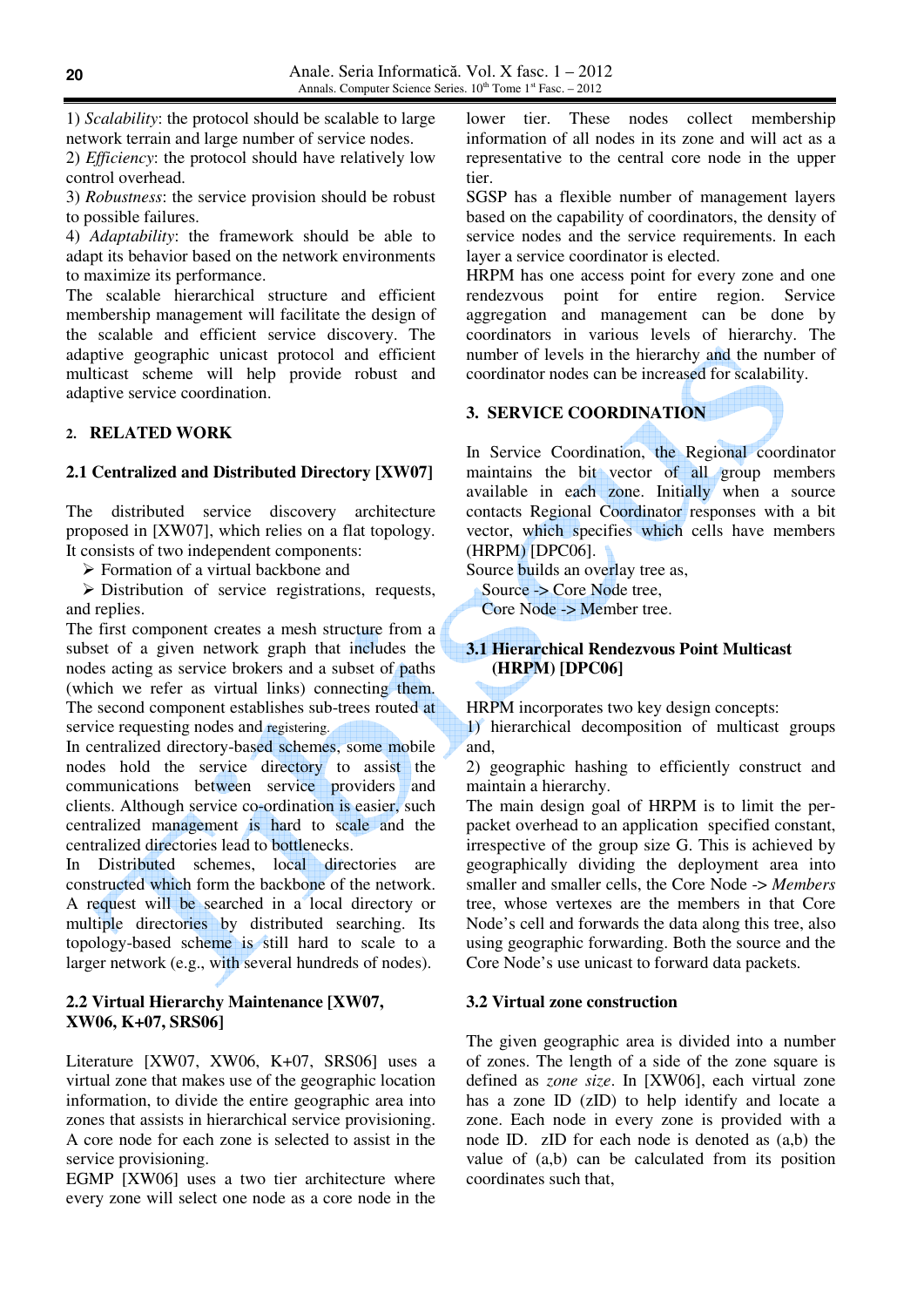1) *Scalability*: the protocol should be scalable to large network terrain and large number of service nodes.

2) *Efficiency*: the protocol should have relatively low control overhead.

3) *Robustness*: the service provision should be robust to possible failures.

4) *Adaptability*: the framework should be able to adapt its behavior based on the network environments to maximize its performance.

The scalable hierarchical structure and efficient membership management will facilitate the design of the scalable and efficient service discovery. The adaptive geographic unicast protocol and efficient multicast scheme will help provide robust and adaptive service coordination.

# **2. RELATED WORK**

### **2.1 Centralized and Distributed Directory [XW07]**

The distributed service discovery architecture proposed in [XW07], which relies on a flat topology. It consists of two independent components:

 $\triangleright$  Formation of a virtual backbone and

 $\triangleright$  Distribution of service registrations, requests, and replies.

The first component creates a mesh structure from a subset of a given network graph that includes the nodes acting as service brokers and a subset of paths (which we refer as virtual links) connecting them. The second component establishes sub-trees routed at service requesting nodes and registering.

In centralized directory-based schemes, some mobile nodes hold the service directory to assist the communications between service providers and clients. Although service co-ordination is easier, such centralized management is hard to scale and the centralized directories lead to bottlenecks.

In Distributed schemes, local directories are constructed which form the backbone of the network. A request will be searched in a local directory or multiple directories by distributed searching. Its topology-based scheme is still hard to scale to a larger network (e.g., with several hundreds of nodes).

# **2.2 Virtual Hierarchy Maintenance [XW07, XW06, K+07, SRS06]**

Literature [XW07, XW06, K+07, SRS06] uses a virtual zone that makes use of the geographic location information, to divide the entire geographic area into zones that assists in hierarchical service provisioning. A core node for each zone is selected to assist in the service provisioning.

EGMP [XW06] uses a two tier architecture where every zone will select one node as a core node in the

lower tier. These nodes collect membership information of all nodes in its zone and will act as a representative to the central core node in the upper tier.

SGSP has a flexible number of management layers based on the capability of coordinators, the density of service nodes and the service requirements. In each layer a service coordinator is elected.

HRPM has one access point for every zone and one rendezvous point for entire region. Service aggregation and management can be done by coordinators in various levels of hierarchy. The number of levels in the hierarchy and the number of coordinator nodes can be increased for scalability.

# **3. SERVICE COORDINATION**

In Service Coordination, the Regional coordinator maintains the bit vector of all group members available in each zone. Initially when a source contacts Regional Coordinator responses with a bit vector, which specifies which cells have members (HRPM) [DPC06].

Source builds an overlay tree as, Source -> Core Node tree, Core Node -> Member tree.

## **3.1 Hierarchical Rendezvous Point Multicast****(HRPM) [DPC06]**

HRPM incorporates two key design concepts:

1) hierarchical decomposition of multicast groups and,

2) geographic hashing to efficiently construct and maintain a hierarchy.

The main design goal of HRPM is to limit the perpacket overhead to an application specified constant, irrespective of the group size G. This is achieved by geographically dividing the deployment area into smaller and smaller cells, the Core Node -> *Members*  tree, whose vertexes are the members in that Core Node's cell and forwards the data along this tree, also using geographic forwarding. Both the source and the Core Node's use unicast to forward data packets.

### **3.2 Virtual zone construction**

The given geographic area is divided into a number of zones. The length of a side of the zone square is defined as *zone size*. In [XW06], each virtual zone has a zone ID (zID) to help identify and locate a zone. Each node in every zone is provided with a node ID. zID for each node is denoted as (a,b) the value of (a,b) can be calculated from its position coordinates such that,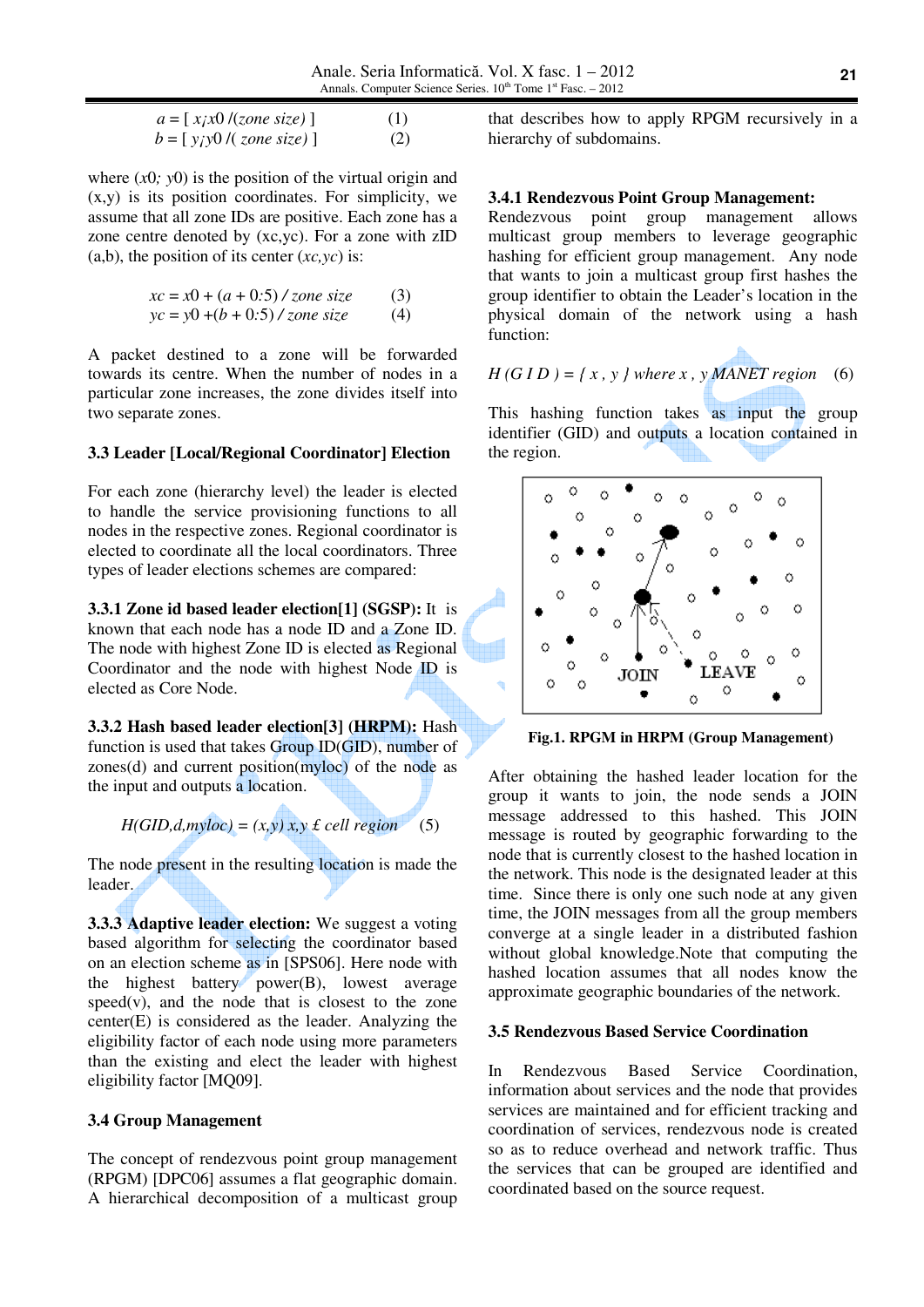$$
a = [xix0/(zone size)] \t(1)
$$
  

$$
b = [yiy0/(zone size)] \t(2)
$$

where  $(x0, y0)$  is the position of the virtual origin and (x,y) is its position coordinates. For simplicity, we assume that all zone IDs are positive. Each zone has a zone centre denoted by (xc,yc). For a zone with zID (a,b), the position of its center (*xc,yc*) is:

$$
xc = x0 + (a + 0.5) / zone size
$$
 (3)  

$$
yc = y0 + (b + 0.5) / zone size
$$
 (4)

A packet destined to a zone will be forwarded towards its centre. When the number of nodes in a particular zone increases, the zone divides itself into two separate zones.

### **3.3 Leader [Local/Regional Coordinator] Election**

For each zone (hierarchy level) the leader is elected to handle the service provisioning functions to all nodes in the respective zones. Regional coordinator is elected to coordinate all the local coordinators. Three types of leader elections schemes are compared:

**3.3.1 Zone id based leader election[1] (SGSP):** It is known that each node has a node ID and a Zone ID. The node with highest Zone ID is elected as Regional Coordinator and the node with highest Node ID is elected as Core Node.

**3.3.2 Hash based leader election[3] (HRPM):** Hash function is used that takes Group ID(GID), number of zones(d) and current position(myloc) of the node as the input and outputs a location.

*H(GID,d,myloc) = (x,y) x,y £ cell region* (5)

The node present in the resulting location is made the leader.

**3.3.3 Adaptive leader election:** We suggest a voting based algorithm for selecting the coordinator based on an election scheme as in [SPS06]. Here node with the highest battery power(B), lowest average  $speed(v)$ , and the node that is closest to the zone center(E) is considered as the leader. Analyzing the eligibility factor of each node using more parameters than the existing and elect the leader with highest eligibility factor [MQ09].

### **3.4 Group Management**

The concept of rendezvous point group management (RPGM) [DPC06] assumes a flat geographic domain. A hierarchical decomposition of a multicast group

that describes how to apply RPGM recursively in a hierarchy of subdomains.

## **3.4.1 Rendezvous Point Group Management:**

Rendezvous point group management allows multicast group members to leverage geographic hashing for efficient group management. Any node that wants to join a multicast group first hashes the group identifier to obtain the Leader's location in the physical domain of the network using a hash function:

$$
H(GID) = \{ x, y \} where x, y \text{ MANET region} \quad (6)
$$

a.

This hashing function takes as input the group identifier (GID) and outputs a location contained in the region.



**Fig.1. RPGM in HRPM (Group Management)** 

After obtaining the hashed leader location for the group it wants to join, the node sends a JOIN message addressed to this hashed. This JOIN message is routed by geographic forwarding to the node that is currently closest to the hashed location in the network. This node is the designated leader at this time. Since there is only one such node at any given time, the JOIN messages from all the group members converge at a single leader in a distributed fashion without global knowledge.Note that computing the hashed location assumes that all nodes know the approximate geographic boundaries of the network.

### **3.5 Rendezvous Based Service Coordination**

In Rendezvous Based Service Coordination, information about services and the node that provides services are maintained and for efficient tracking and coordination of services, rendezvous node is created so as to reduce overhead and network traffic. Thus the services that can be grouped are identified and coordinated based on the source request.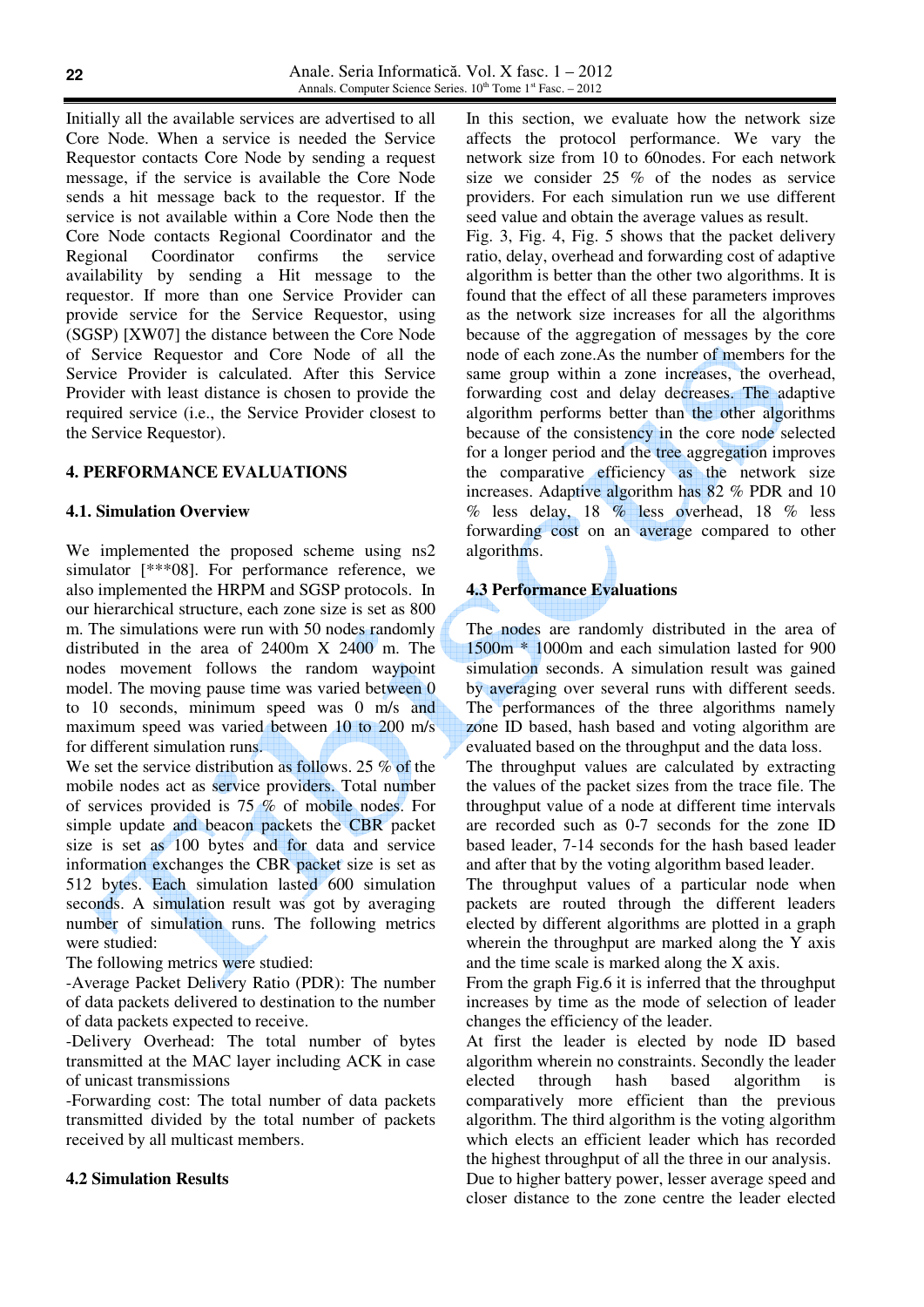Initially all the available services are advertised to all Core Node. When a service is needed the Service Requestor contacts Core Node by sending a request message, if the service is available the Core Node sends a hit message back to the requestor. If the service is not available within a Core Node then the Core Node contacts Regional Coordinator and the Regional Coordinator confirms the service availability by sending a Hit message to the requestor. If more than one Service Provider can provide service for the Service Requestor, using (SGSP) [XW07] the distance between the Core Node of Service Requestor and Core Node of all the Service Provider is calculated. After this Service Provider with least distance is chosen to provide the required service (i.e., the Service Provider closest to the Service Requestor).

#### **4. PERFORMANCE EVALUATIONS**

#### **4.1. Simulation Overview**

We implemented the proposed scheme using ns2 simulator [\*\*\*08]. For performance reference, we also implemented the HRPM and SGSP protocols. In our hierarchical structure, each zone size is set as 800 m. The simulations were run with 50 nodes randomly distributed in the area of 2400m X 2400 m. The nodes movement follows the random waypoint model. The moving pause time was varied between 0 to 10 seconds, minimum speed was 0 m/s and maximum speed was varied between 10 to 200 m/s for different simulation runs.

We set the service distribution as follows. 25 % of the mobile nodes act as service providers. Total number of services provided is 75 % of mobile nodes. For simple update and beacon packets the CBR packet size is set as 100 bytes and for data and service information exchanges the CBR packet size is set as 512 bytes. Each simulation lasted 600 simulation seconds. A simulation result was got by averaging number of simulation runs. The following metrics were studied:

The following metrics were studied:

-Average Packet Delivery Ratio (PDR): The number of data packets delivered to destination to the number of data packets expected to receive.

-Delivery Overhead: The total number of bytes transmitted at the MAC layer including ACK in case of unicast transmissions

-Forwarding cost: The total number of data packets transmitted divided by the total number of packets received by all multicast members.

#### **4.2 Simulation Results**

In this section, we evaluate how the network size affects the protocol performance. We vary the network size from 10 to 60nodes. For each network size we consider 25 % of the nodes as service providers. For each simulation run we use different seed value and obtain the average values as result.

Fig. 3, Fig. 4, Fig. 5 shows that the packet delivery ratio, delay, overhead and forwarding cost of adaptive algorithm is better than the other two algorithms. It is found that the effect of all these parameters improves as the network size increases for all the algorithms because of the aggregation of messages by the core node of each zone.As the number of members for the same group within a zone increases, the overhead, forwarding cost and delay decreases. The adaptive algorithm performs better than the other algorithms because of the consistency in the core node selected for a longer period and the tree aggregation improves the comparative efficiency as the network size increases. Adaptive algorithm has 82 % PDR and 10 % less delay, 18 % less overhead, 18 % less forwarding cost on an average compared to other algorithms.

## **4.3 Performance Evaluations**

The nodes are randomly distributed in the area of 1500m \* 1000m and each simulation lasted for 900 simulation seconds. A simulation result was gained by averaging over several runs with different seeds. The performances of the three algorithms namely zone ID based, hash based and voting algorithm are evaluated based on the throughput and the data loss.

The throughput values are calculated by extracting the values of the packet sizes from the trace file. The throughput value of a node at different time intervals are recorded such as 0-7 seconds for the zone ID based leader, 7-14 seconds for the hash based leader and after that by the voting algorithm based leader.

The throughput values of a particular node when packets are routed through the different leaders elected by different algorithms are plotted in a graph wherein the throughput are marked along the Y axis and the time scale is marked along the X axis.

From the graph Fig.6 it is inferred that the throughput increases by time as the mode of selection of leader changes the efficiency of the leader.

At first the leader is elected by node ID based algorithm wherein no constraints. Secondly the leader elected through hash based algorithm is comparatively more efficient than the previous algorithm. The third algorithm is the voting algorithm which elects an efficient leader which has recorded the highest throughput of all the three in our analysis.

Due to higher battery power, lesser average speed and closer distance to the zone centre the leader elected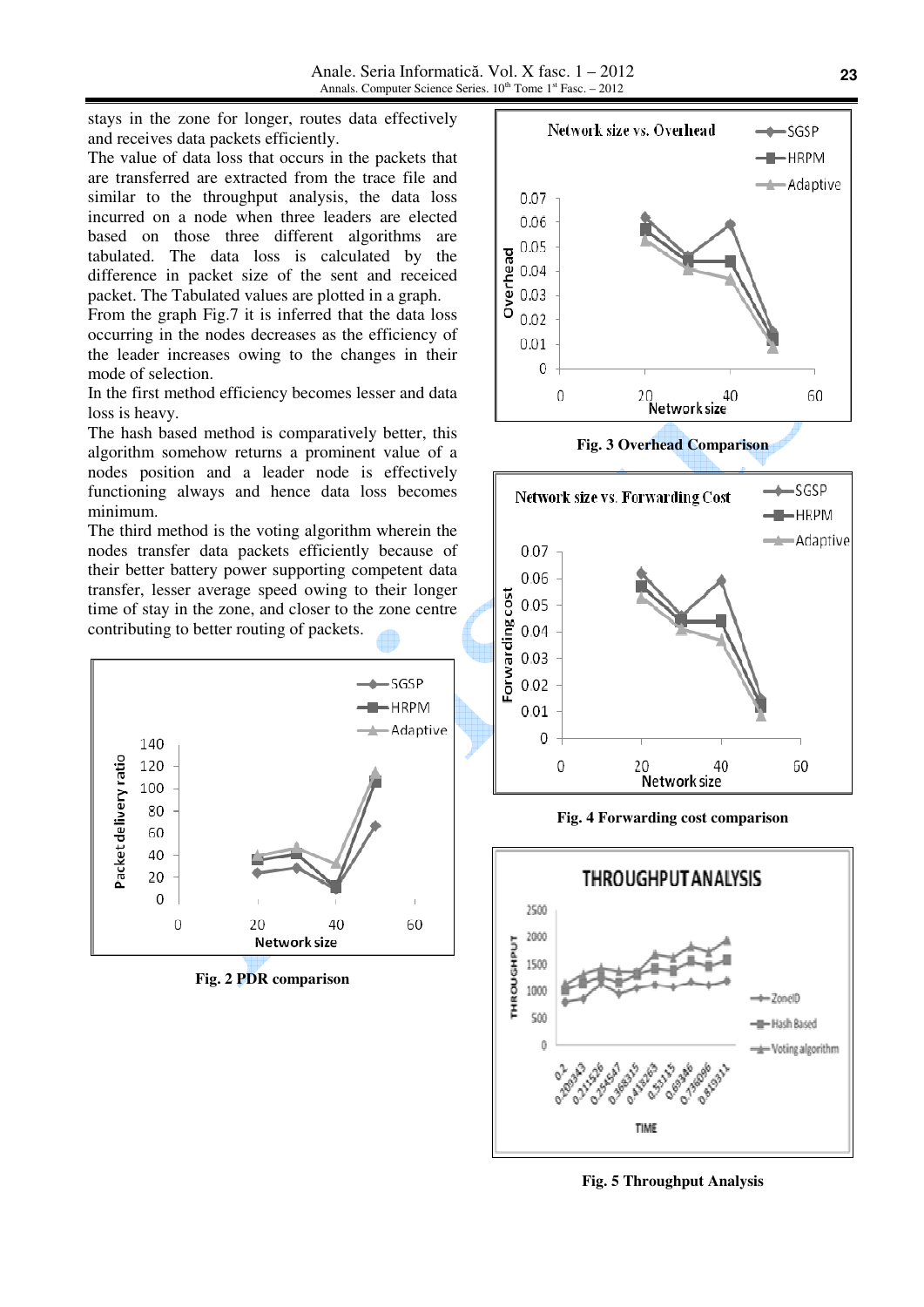Anale. Seria Informatică. Vol. X fasc. 1 – 2012 Annals. Computer Science Series.  $10^{th}$  Tome 1st Fasc. - 2012

stays in the zone for longer, routes data effectively and receives data packets efficiently.

The value of data loss that occurs in the packets that are transferred are extracted from the trace file and similar to the throughput analysis, the data loss incurred on a node when three leaders are elected based on those three different algorithms are tabulated. The data loss is calculated by the difference in packet size of the sent and receiced packet. The Tabulated values are plotted in a graph.

From the graph Fig.7 it is inferred that the data loss occurring in the nodes decreases as the efficiency of the leader increases owing to the changes in their mode of selection.

In the first method efficiency becomes lesser and data loss is heavy.

The hash based method is comparatively better, this algorithm somehow returns a prominent value of a nodes position and a leader node is effectively functioning always and hence data loss becomes minimum.

The third method is the voting algorithm wherein the nodes transfer data packets efficiently because of their better battery power supporting competent data transfer, lesser average speed owing to their longer time of stay in the zone, and closer to the zone centre contributing to better routing of packets.



**Fig. 2 PDR comparison** 



**Fig. 3 Overhead Comparison** 



**Fig. 4 Forwarding cost comparison** 



**Fig. 5 Throughput Analysis**